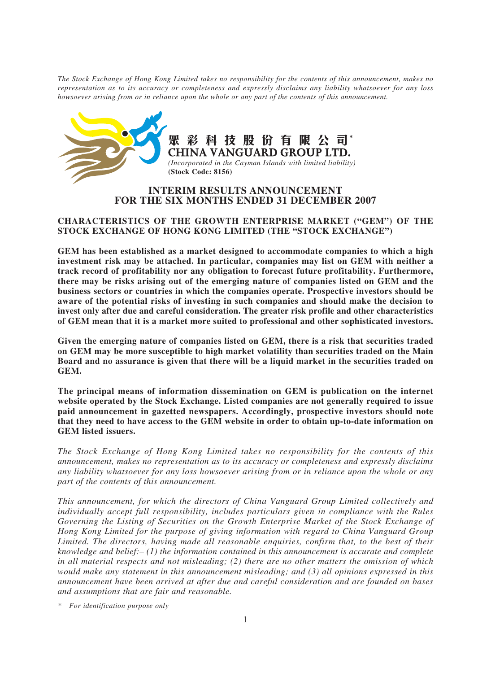*The Stock Exchange of Hong Kong Limited takes no responsibility for the contents of this announcement, makes no representation as to its accuracy or completeness and expressly disclaims any liability whatsoever for any loss howsoever arising from or in reliance upon the whole or any part of the contents of this announcement.*



彩科技股份有限公司 **CHINA VANGUARD GROUP LTD.** *(Incorporated in the Cayman Islands with limited liability)* **(Stock Code: 8156)**

# **INTERIM RESULTS ANNOUNCEMENT FOR THE SIX MONTHS ENDED 31 DECEMBER 2007**

## **CHARACTERISTICS OF THE GROWTH ENTERPRISE MARKET ("GEM") OF THE STOCK EXCHANGE OF HONG KONG LIMITED (THE "STOCK EXCHANGE")**

**GEM has been established as a market designed to accommodate companies to which a high investment risk may be attached. In particular, companies may list on GEM with neither a track record of profitability nor any obligation to forecast future profitability. Furthermore, there may be risks arising out of the emerging nature of companies listed on GEM and the business sectors or countries in which the companies operate. Prospective investors should be aware of the potential risks of investing in such companies and should make the decision to invest only after due and careful consideration. The greater risk profile and other characteristics of GEM mean that it is a market more suited to professional and other sophisticated investors.**

**Given the emerging nature of companies listed on GEM, there is a risk that securities traded on GEM may be more susceptible to high market volatility than securities traded on the Main Board and no assurance is given that there will be a liquid market in the securities traded on GEM.**

**The principal means of information dissemination on GEM is publication on the internet website operated by the Stock Exchange. Listed companies are not generally required to issue paid announcement in gazetted newspapers. Accordingly, prospective investors should note that they need to have access to the GEM website in order to obtain up-to-date information on GEM listed issuers.**

*The Stock Exchange of Hong Kong Limited takes no responsibility for the contents of this announcement, makes no representation as to its accuracy or completeness and expressly disclaims any liability whatsoever for any loss howsoever arising from or in reliance upon the whole or any part of the contents of this announcement.*

*This announcement, for which the directors of China Vanguard Group Limited collectively and individually accept full responsibility, includes particulars given in compliance with the Rules Governing the Listing of Securities on the Growth Enterprise Market of the Stock Exchange of Hong Kong Limited for the purpose of giving information with regard to China Vanguard Group Limited. The directors, having made all reasonable enquiries, confirm that, to the best of their knowledge and belief:– (1) the information contained in this announcement is accurate and complete in all material respects and not misleading; (2) there are no other matters the omission of which would make any statement in this announcement misleading; and (3) all opinions expressed in this announcement have been arrived at after due and careful consideration and are founded on bases and assumptions that are fair and reasonable.*

*\* For identification purpose only*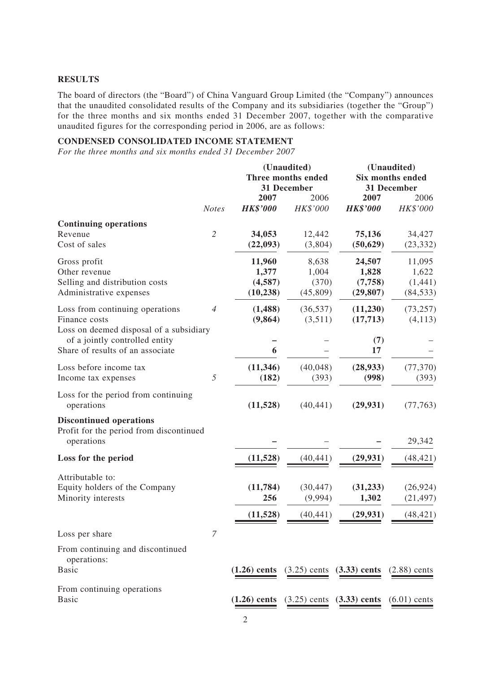## **RESULTS**

The board of directors (the "Board") of China Vanguard Group Limited (the "Company") announces that the unaudited consolidated results of the Company and its subsidiaries (together the "Group") for the three months and six months ended 31 December 2007, together with the comparative unaudited figures for the corresponding period in 2006, are as follows:

# **CONDENSED CONSOLIDATED INCOME STATEMENT**

*For the three months and six months ended 31 December 2007*

|                                                                                             | (Unaudited)<br>Three months ended<br>31 December |                                         |                                              | (Unaudited)<br>Six months ended<br>31 December |                                         |  |
|---------------------------------------------------------------------------------------------|--------------------------------------------------|-----------------------------------------|----------------------------------------------|------------------------------------------------|-----------------------------------------|--|
|                                                                                             | <b>Notes</b>                                     | 2007<br><b>HK\$'000</b>                 | 2006<br>HK\$'000                             | 2007<br><b>HK\$'000</b>                        | 2006<br>HK\$'000                        |  |
| <b>Continuing operations</b><br>Revenue<br>Cost of sales                                    | $\overline{2}$                                   | 34,053<br>(22, 093)                     | 12,442<br>(3,804)                            | 75,136<br>(50, 629)                            | 34,427<br>(23, 332)                     |  |
| Gross profit<br>Other revenue<br>Selling and distribution costs<br>Administrative expenses  |                                                  | 11,960<br>1,377<br>(4,587)<br>(10, 238) | 8,638<br>1,004<br>(370)<br>(45, 809)         | 24,507<br>1,828<br>(7,758)<br>(29, 807)        | 11,095<br>1,622<br>(1,441)<br>(84, 533) |  |
| Loss from continuing operations<br>Finance costs<br>Loss on deemed disposal of a subsidiary | $\overline{4}$                                   | (1,488)<br>(9,864)                      | (36, 537)<br>(3,511)                         | (11,230)<br>(17,713)                           | (73, 257)<br>(4, 113)                   |  |
| of a jointly controlled entity<br>Share of results of an associate                          |                                                  | 6                                       |                                              | (7)<br>17                                      |                                         |  |
| Loss before income tax<br>Income tax expenses                                               | 5                                                | (11, 346)<br>(182)                      | (40,048)<br>(393)                            | (28, 933)<br>(998)                             | (77, 370)<br>(393)                      |  |
| Loss for the period from continuing<br>operations                                           |                                                  | (11,528)                                | (40, 441)                                    | (29, 931)                                      | (77, 763)                               |  |
| <b>Discontinued operations</b><br>Profit for the period from discontinued<br>operations     |                                                  |                                         |                                              |                                                | 29,342                                  |  |
| Loss for the period                                                                         |                                                  | (11, 528)                               | (40, 441)                                    | (29, 931)                                      | (48, 421)                               |  |
| Attributable to:<br>Equity holders of the Company<br>Minority interests                     |                                                  | (11, 784)<br>256                        | (30, 447)<br>(9,994)                         | (31, 233)<br>1,302                             | (26, 924)<br>(21, 497)                  |  |
|                                                                                             |                                                  | (11, 528)                               | (40, 441)                                    | (29, 931)                                      | (48, 421)                               |  |
| Loss per share                                                                              | $\overline{7}$                                   |                                         |                                              |                                                |                                         |  |
| From continuing and discontinued<br>operations:<br><b>Basic</b>                             |                                                  |                                         |                                              | $(1.26)$ cents $(3.25)$ cents $(3.33)$ cents   | $(2.88)$ cents                          |  |
| From continuing operations<br><b>Basic</b>                                                  |                                                  |                                         | $(1.26)$ cents $(3.25)$ cents $(3.33)$ cents |                                                | $(6.01)$ cents                          |  |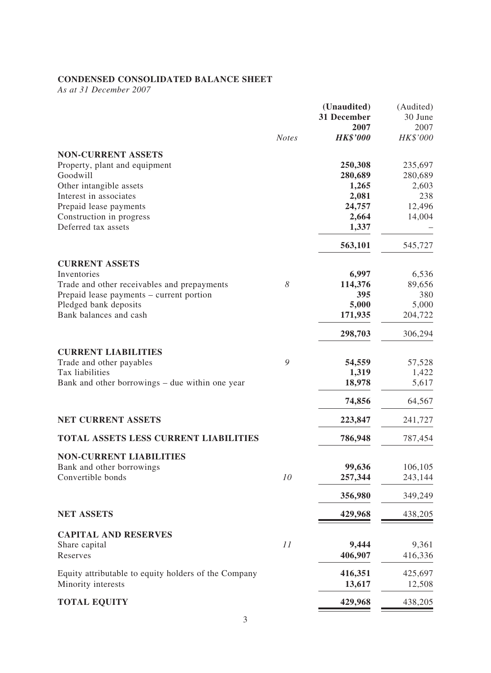# **CONDENSED CONSOLIDATED BALANCE SHEET**

*As at 31 December 2007*

|                                                            |              | (Unaudited)     | (Audited) |
|------------------------------------------------------------|--------------|-----------------|-----------|
|                                                            |              | 31 December     | 30 June   |
|                                                            |              | 2007            | 2007      |
|                                                            | <b>Notes</b> | <b>HK\$'000</b> | HK\$'000  |
|                                                            |              |                 |           |
| <b>NON-CURRENT ASSETS</b><br>Property, plant and equipment |              | 250,308         | 235,697   |
| Goodwill                                                   |              |                 |           |
|                                                            |              | 280,689         | 280,689   |
| Other intangible assets                                    |              | 1,265           | 2,603     |
| Interest in associates                                     |              | 2,081           | 238       |
| Prepaid lease payments                                     |              | 24,757          | 12,496    |
| Construction in progress                                   |              | 2,664           | 14,004    |
| Deferred tax assets                                        |              | 1,337           |           |
|                                                            |              | 563,101         | 545,727   |
| <b>CURRENT ASSETS</b>                                      |              |                 |           |
| Inventories                                                |              | 6,997           | 6,536     |
| Trade and other receivables and prepayments                | 8            | 114,376         | 89,656    |
| Prepaid lease payments – current portion                   |              | 395             | 380       |
| Pledged bank deposits                                      |              | 5,000           | 5,000     |
| Bank balances and cash                                     |              | 171,935         | 204,722   |
|                                                            |              | 298,703         | 306,294   |
|                                                            |              |                 |           |
| <b>CURRENT LIABILITIES</b>                                 |              |                 |           |
| Trade and other payables                                   | 9            | 54,559          | 57,528    |
| Tax liabilities                                            |              | 1,319           | 1,422     |
| Bank and other borrowings – due within one year            |              | 18,978          | 5,617     |
|                                                            |              | 74,856          | 64,567    |
| <b>NET CURRENT ASSETS</b>                                  |              | 223,847         | 241,727   |
| <b>TOTAL ASSETS LESS CURRENT LIABILITIES</b>               |              | 786,948         | 787,454   |
| <b>NON-CURRENT LIABILITIES</b>                             |              |                 |           |
| Bank and other borrowings                                  |              | 99,636          | 106,105   |
| Convertible bonds                                          | 10           | 257,344         | 243,144   |
|                                                            |              |                 |           |
|                                                            |              | 356,980         | 349,249   |
| <b>NET ASSETS</b>                                          |              | 429,968         | 438,205   |
| <b>CAPITAL AND RESERVES</b>                                |              |                 |           |
| Share capital                                              | 11           | 9,444           | 9,361     |
| Reserves                                                   |              | 406,907         | 416,336   |
|                                                            |              |                 |           |
| Equity attributable to equity holders of the Company       |              | 416,351         | 425,697   |
| Minority interests                                         |              | 13,617          | 12,508    |
| <b>TOTAL EQUITY</b>                                        |              | 429,968         | 438,205   |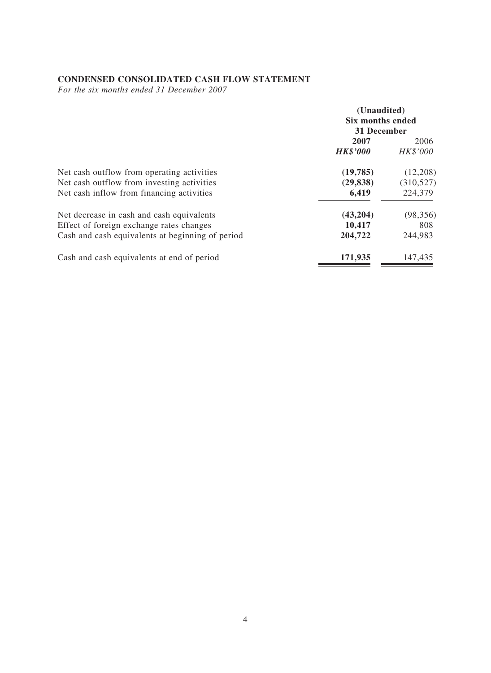# **CONDENSED CONSOLIDATED CASH FLOW STATEMENT**

*For the six months ended 31 December 2007*

|                                                                                                                                           | (Unaudited)<br>Six months ended<br>31 December |                             |
|-------------------------------------------------------------------------------------------------------------------------------------------|------------------------------------------------|-----------------------------|
|                                                                                                                                           | 2007<br><b>HK\$'000</b>                        | 2006<br>HK\$'000            |
| Net cash outflow from operating activities<br>Net cash outflow from investing activities                                                  | (19,785)<br>(29, 838)                          | (12,208)<br>(310,527)       |
| Net cash inflow from financing activities                                                                                                 | 6,419                                          | 224,379                     |
| Net decrease in cash and cash equivalents<br>Effect of foreign exchange rates changes<br>Cash and cash equivalents at beginning of period | (43,204)<br>10,417<br>204,722                  | (98, 356)<br>808<br>244,983 |
| Cash and cash equivalents at end of period                                                                                                | 171,935                                        | 147,435                     |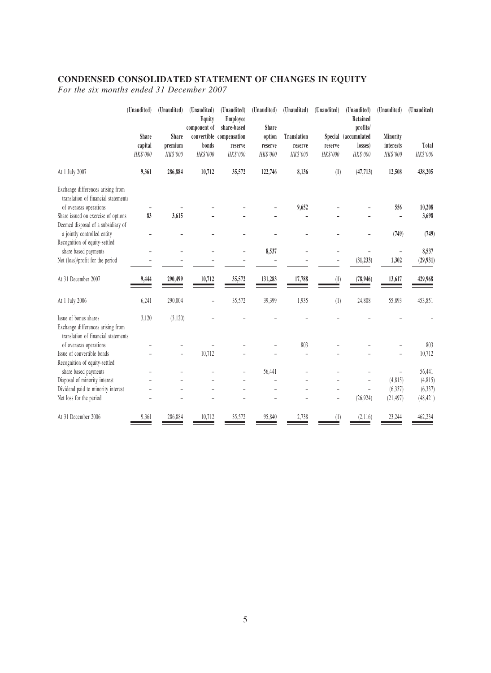# **CONDENSED CONSOLIDATED STATEMENT OF CHANGES IN EQUITY**

*For the six months ended 31 December 2007*

|                                                                           | (Unaudited) | (Unaudited) | (Unaudited)<br>Equity<br>component of | (Unaudited)<br>Employee<br>share-based | (Unaudited)<br>Share | (Unaudited)        | (Unaudited) | (Unaudited)<br>Retained<br>profits/ | (Unaudited) | (Unaudited) |
|---------------------------------------------------------------------------|-------------|-------------|---------------------------------------|----------------------------------------|----------------------|--------------------|-------------|-------------------------------------|-------------|-------------|
|                                                                           | Share       | Share       |                                       | convertible compensation               | option               | <b>Translation</b> |             | Special (accumulated                | Minority    |             |
|                                                                           | capital     | premium     | bonds                                 | reserve                                | reserve              | reserve            | reserve     | losses)                             | interests   | Total       |
|                                                                           | HK\$'000    | HK\$'000    | HK\$'000                              | HK\$'000                               | HK\$'000             | HK\$'000           | HK\$'000    | HK\$'000                            | HK\$'000    | HK\$'000    |
| At 1 July 2007                                                            | 9,361       | 286,884     | 10,712                                | 35,572                                 | 122,746              | 8,136              | (1)         | (47, 713)                           | 12,508      | 438,205     |
| Exchange differences arising from                                         |             |             |                                       |                                        |                      |                    |             |                                     |             |             |
| translation of financial statements                                       |             |             |                                       |                                        |                      |                    |             |                                     |             |             |
| of overseas operations                                                    |             |             |                                       |                                        |                      | 9,652              |             |                                     | 556         | 10,208      |
| Share issued on exercise of options<br>Deemed disposal of a subsidiary of | 83          | 3,615       |                                       |                                        |                      |                    |             |                                     |             | 3,698       |
| a jointly controlled entity                                               |             |             |                                       |                                        |                      |                    |             |                                     | (749)       | (749)       |
| Recognition of equity-settled                                             |             |             |                                       |                                        |                      |                    |             |                                     |             |             |
| share based payments                                                      |             |             |                                       |                                        | 8,537                |                    |             |                                     |             | 8,537       |
| Net (loss)/profit for the period                                          |             |             |                                       |                                        |                      |                    |             | (31, 233)                           | 1,302       | (29, 931)   |
|                                                                           |             |             |                                       |                                        |                      |                    |             |                                     |             |             |
| At 31 December 2007                                                       | 9,444       | 290,499     | 10,712                                | 35,572                                 | 131,283              | 17,788             | (1)         | (78, 946)                           | 13,617      | 429,968     |
| At 1 July 2006                                                            | 6,241       | 290,004     |                                       | 35,572                                 | 39,399               | 1,935              | (1)         | 24,808                              | 55,893      | 453,851     |
| Issue of bonus shares                                                     | 3,120       | (3,120)     |                                       |                                        |                      |                    |             |                                     |             |             |
| Exchange differences arising from<br>translation of financial statements  |             |             |                                       |                                        |                      |                    |             |                                     |             |             |
| of overseas operations                                                    |             |             |                                       |                                        |                      | 803                |             |                                     |             | 803         |
| Issue of convertible bonds                                                |             |             | 10,712                                |                                        |                      |                    |             |                                     |             | 10,712      |
| Recognition of equity-settled                                             |             |             |                                       |                                        |                      |                    |             |                                     |             |             |
| share based payments                                                      |             |             |                                       |                                        | 56,441               |                    |             |                                     |             | 56,441      |
| Disposal of minority interest                                             |             |             |                                       |                                        |                      |                    |             |                                     | (4, 815)    | (4, 815)    |
| Dividend paid to minority interest                                        |             |             |                                       |                                        |                      |                    |             |                                     | (6, 337)    | (6, 337)    |
| Net loss for the period                                                   |             |             |                                       |                                        |                      |                    |             | (26, 924)                           | (21, 497)   | (48, 421)   |
| At 31 December 2006                                                       | 9,361       | 286,884     | 10,712                                | 35,572                                 | 95,840               | 2,738              | (1)         | (2,116)                             | 23,244      | 462,234     |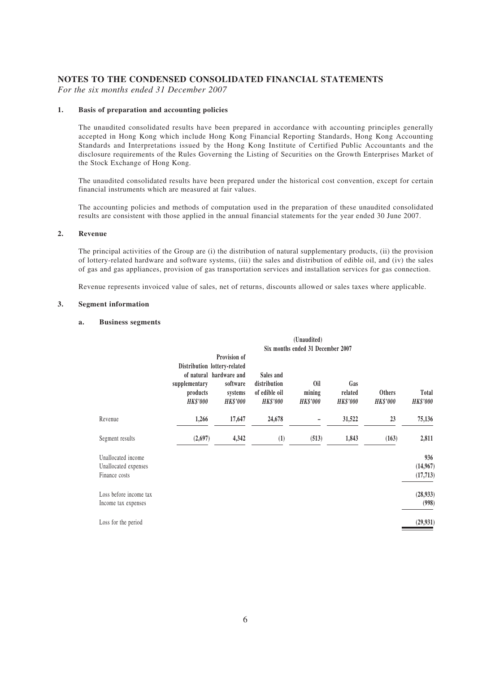### **NOTES TO THE CONDENSED CONSOLIDATED FINANCIAL STATEMENTS**

*For the six months ended 31 December 2007*

#### **1. Basis of preparation and accounting policies**

The unaudited consolidated results have been prepared in accordance with accounting principles generally accepted in Hong Kong which include Hong Kong Financial Reporting Standards, Hong Kong Accounting Standards and Interpretations issued by the Hong Kong Institute of Certified Public Accountants and the disclosure requirements of the Rules Governing the Listing of Securities on the Growth Enterprises Market of the Stock Exchange of Hong Kong.

The unaudited consolidated results have been prepared under the historical cost convention, except for certain financial instruments which are measured at fair values.

The accounting policies and methods of computation used in the preparation of these unaudited consolidated results are consistent with those applied in the annual financial statements for the year ended 30 June 2007.

#### **2. Revenue**

The principal activities of the Group are (i) the distribution of natural supplementary products, (ii) the provision of lottery-related hardware and software systems, (iii) the sales and distribution of edible oil, and (iv) the sales of gas and gas appliances, provision of gas transportation services and installation services for gas connection.

Revenue represents invoiced value of sales, net of returns, discounts allowed or sales taxes where applicable.

#### **3. Segment information**

#### **a. Business segments**

|                                                             |                                              |                                                                                                                   |                                                               | (Unaudited)                      |                                   |                                  |                                 |  |  |
|-------------------------------------------------------------|----------------------------------------------|-------------------------------------------------------------------------------------------------------------------|---------------------------------------------------------------|----------------------------------|-----------------------------------|----------------------------------|---------------------------------|--|--|
|                                                             |                                              | Six months ended 31 December 2007                                                                                 |                                                               |                                  |                                   |                                  |                                 |  |  |
|                                                             | supplementary<br>products<br><b>HK\$'000</b> | Provision of<br>Distribution lottery-related<br>of natural hardware and<br>software<br>systems<br><b>HK\$'000</b> | Sales and<br>distribution<br>of edible oil<br><b>HK\$'000</b> | 0il<br>mining<br><b>HK\$'000</b> | Gas<br>related<br><b>HK\$'000</b> | <b>Others</b><br><b>HK\$'000</b> | <b>Total</b><br><b>HK\$'000</b> |  |  |
| Revenue                                                     | 1,266                                        | 17,647                                                                                                            | 24,678                                                        |                                  | 31,522                            | 23                               | 75,136                          |  |  |
| Segment results                                             | (2,697)                                      | 4,342                                                                                                             | (1)                                                           | (513)                            | 1,843                             | (163)                            | 2,811                           |  |  |
| Unallocated income<br>Unallocated expenses<br>Finance costs |                                              |                                                                                                                   |                                                               |                                  |                                   |                                  | 936<br>(14,967)<br>(17, 713)    |  |  |
| Loss before income tax<br>Income tax expenses               |                                              |                                                                                                                   |                                                               |                                  |                                   |                                  | (28, 933)<br>(998)              |  |  |
| Loss for the period                                         |                                              |                                                                                                                   |                                                               |                                  |                                   |                                  | (29, 931)                       |  |  |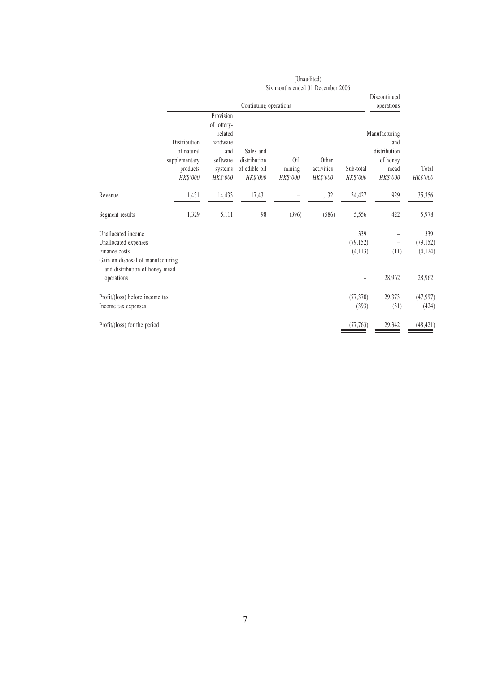|                                                                                                                                                  |                                                                     |                                                                                           |                                                        |                                   | (Unaudited)                     |                             |                                                                      |                                       |
|--------------------------------------------------------------------------------------------------------------------------------------------------|---------------------------------------------------------------------|-------------------------------------------------------------------------------------------|--------------------------------------------------------|-----------------------------------|---------------------------------|-----------------------------|----------------------------------------------------------------------|---------------------------------------|
|                                                                                                                                                  |                                                                     |                                                                                           |                                                        | Six months ended 31 December 2006 |                                 |                             |                                                                      |                                       |
|                                                                                                                                                  |                                                                     |                                                                                           | Continuing operations                                  |                                   |                                 |                             | Discontinued<br>operations                                           |                                       |
|                                                                                                                                                  | Distribution<br>of natural<br>supplementary<br>products<br>HK\$'000 | Provision<br>of lottery-<br>related<br>hardware<br>and<br>software<br>systems<br>HK\$'000 | Sales and<br>distribution<br>of edible oil<br>HK\$'000 | Oil<br>mining<br>HK\$'000         | Other<br>activities<br>HK\$'000 | Sub-total<br>HK\$'000       | Manufacturing<br>and<br>distribution<br>of honey<br>mead<br>HK\$'000 | Total<br>HK\$'000                     |
| Revenue                                                                                                                                          | 1,431                                                               | 14,433                                                                                    | 17,431                                                 |                                   | 1,132                           | 34,427                      | 929                                                                  | 35,356                                |
| Segment results                                                                                                                                  | 1,329                                                               | 5,111                                                                                     | 98                                                     | (396)                             | (586)                           | 5,556                       | 422                                                                  | 5,978                                 |
| Unallocated income<br>Unallocated expenses<br>Finance costs<br>Gain on disposal of manufacturing<br>and distribution of honey mead<br>operations |                                                                     |                                                                                           |                                                        |                                   |                                 | 339<br>(79, 152)<br>(4,113) | $\overline{\phantom{0}}$<br>(11)<br>28,962                           | 339<br>(79, 152)<br>(4,124)<br>28,962 |
| Profit/(loss) before income tax<br>Income tax expenses                                                                                           |                                                                     |                                                                                           |                                                        |                                   |                                 | (77, 370)<br>(393)          | 29,373<br>(31)                                                       | (47, 997)<br>(424)                    |
| Profit/(loss) for the period                                                                                                                     |                                                                     |                                                                                           |                                                        |                                   |                                 | (77, 763)                   | 29,342                                                               | (48, 421)                             |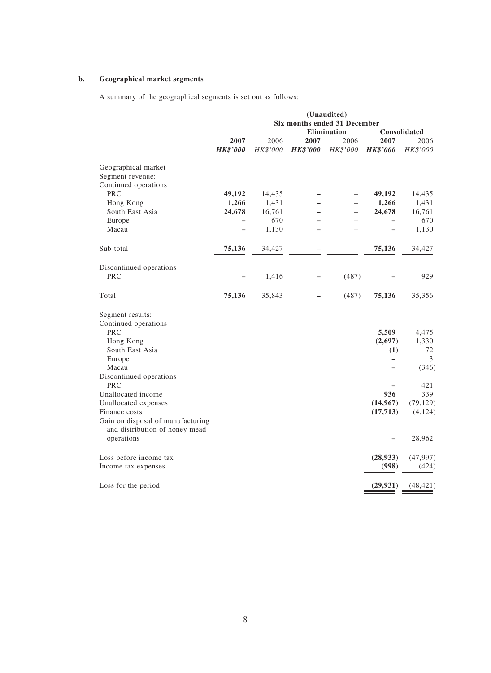### **b. Geographical market segments**

A summary of the geographical segments is set out as follows:

|                                                                     |                 |          |                 | (Unaudited)<br>Six months ended 31 December |                 |              |
|---------------------------------------------------------------------|-----------------|----------|-----------------|---------------------------------------------|-----------------|--------------|
|                                                                     |                 |          |                 | Elimination                                 |                 | Consolidated |
|                                                                     | 2007            | 2006     | 2007            | 2006                                        | 2007            | 2006         |
|                                                                     | <b>HK\$'000</b> | HK\$'000 | <b>HK\$'000</b> | HK\$'000                                    | <b>HK\$'000</b> | HK\$'000     |
| Geographical market                                                 |                 |          |                 |                                             |                 |              |
| Segment revenue:                                                    |                 |          |                 |                                             |                 |              |
| Continued operations                                                |                 |          |                 |                                             |                 |              |
| <b>PRC</b>                                                          | 49,192          | 14,435   |                 |                                             | 49,192          | 14,435       |
| Hong Kong                                                           | 1,266           | 1,431    |                 |                                             | 1,266           | 1,431        |
| South East Asia                                                     | 24,678          | 16,761   |                 |                                             | 24,678          | 16,761       |
| Europe                                                              |                 | 670      |                 |                                             |                 | 670          |
| Macau                                                               |                 | 1,130    |                 |                                             |                 | 1,130        |
| Sub-total                                                           | 75,136          | 34,427   |                 |                                             | 75,136          | 34,427       |
|                                                                     |                 |          |                 |                                             |                 |              |
| Discontinued operations                                             |                 |          |                 |                                             |                 |              |
| <b>PRC</b>                                                          |                 | 1,416    |                 | (487)                                       |                 | 929          |
| Total                                                               | 75,136          | 35,843   |                 | (487)                                       | 75,136          | 35,356       |
| Segment results:                                                    |                 |          |                 |                                             |                 |              |
| Continued operations                                                |                 |          |                 |                                             |                 |              |
| <b>PRC</b>                                                          |                 |          |                 |                                             | 5,509           | 4,475        |
| Hong Kong                                                           |                 |          |                 |                                             | (2,697)         | 1,330        |
| South East Asia                                                     |                 |          |                 |                                             | (1)             | 72           |
| Europe                                                              |                 |          |                 |                                             | —               | 3            |
| Macau                                                               |                 |          |                 |                                             |                 | (346)        |
| Discontinued operations                                             |                 |          |                 |                                             |                 |              |
| <b>PRC</b>                                                          |                 |          |                 |                                             |                 | 421          |
| Unallocated income                                                  |                 |          |                 |                                             | 936             | 339          |
| Unallocated expenses                                                |                 |          |                 |                                             | (14, 967)       | (79, 129)    |
| Finance costs                                                       |                 |          |                 |                                             | (17, 713)       | (4, 124)     |
| Gain on disposal of manufacturing<br>and distribution of honey mead |                 |          |                 |                                             |                 |              |
| operations                                                          |                 |          |                 |                                             |                 | 28,962       |
| Loss before income tax                                              |                 |          |                 |                                             | (28, 933)       | (47, 997)    |
| Income tax expenses                                                 |                 |          |                 |                                             | (998)           | (424)        |
| Loss for the period                                                 |                 |          |                 |                                             | (29, 931)       | (48, 421)    |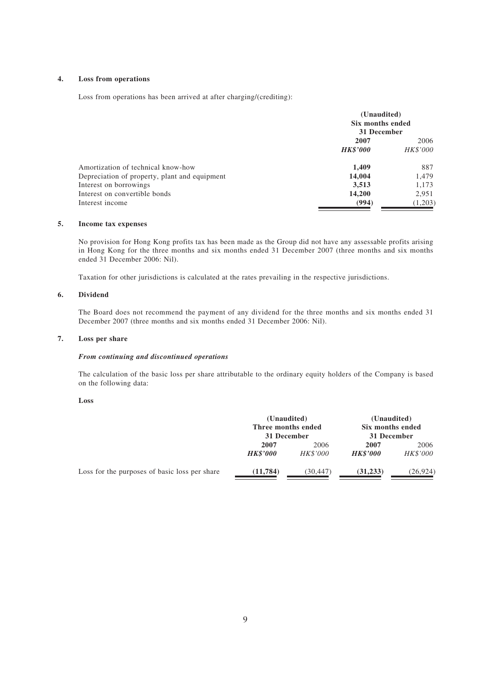### **4. Loss from operations**

Loss from operations has been arrived at after charging/(crediting):

|                                               | (Unaudited)<br>Six months ended<br>31 December |          |  |
|-----------------------------------------------|------------------------------------------------|----------|--|
|                                               | 2007                                           | 2006     |  |
|                                               | <b>HK\$'000</b>                                | HK\$'000 |  |
| Amortization of technical know-how            | 1,409                                          | 887      |  |
| Depreciation of property, plant and equipment | 14,004                                         | 1,479    |  |
| Interest on borrowings                        | 3,513                                          | 1,173    |  |
| Interest on convertible bonds                 | 14,200                                         | 2,951    |  |
| Interest income                               | (994)                                          | (1,203)  |  |

### **5. Income tax expenses**

No provision for Hong Kong profits tax has been made as the Group did not have any assessable profits arising in Hong Kong for the three months and six months ended 31 December 2007 (three months and six months ended 31 December 2006: Nil).

Taxation for other jurisdictions is calculated at the rates prevailing in the respective jurisdictions.

#### **6. Dividend**

The Board does not recommend the payment of any dividend for the three months and six months ended 31 December 2007 (three months and six months ended 31 December 2006: Nil).

#### **7. Loss per share**

#### *From continuing and discontinued operations*

The calculation of the basic loss per share attributable to the ordinary equity holders of the Company is based on the following data:

#### **Loss**

|                                               | (Unaudited)<br>Three months ended<br>31 December |          | (Unaudited)<br>Six months ended<br>31 December |           |
|-----------------------------------------------|--------------------------------------------------|----------|------------------------------------------------|-----------|
|                                               | 2007                                             | 2006     | 2007                                           | 2006      |
|                                               | <b>HK\$'000</b>                                  | HK\$'000 | <b>HK\$'000</b>                                | HK\$'000  |
| Loss for the purposes of basic loss per share | (11, 784)                                        | (30,447) | (31, 233)                                      | (26, 924) |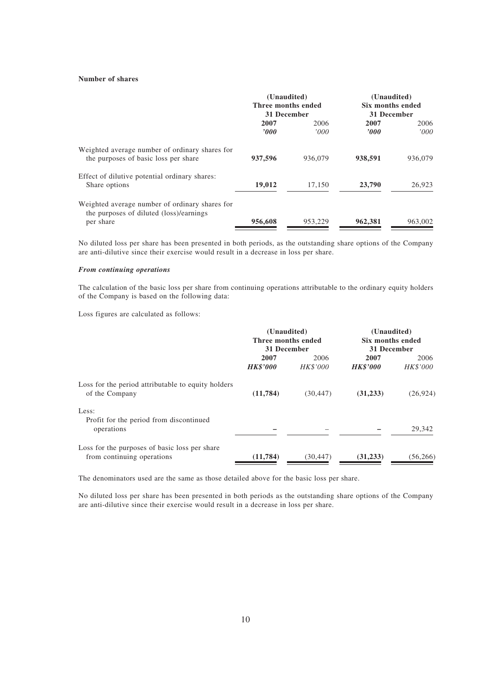### **Number of shares**

|                                                                                                        | (Unaudited)<br>Three months ended<br>31 December |               | (Unaudited)<br>Six months ended<br>31 December |               |
|--------------------------------------------------------------------------------------------------------|--------------------------------------------------|---------------|------------------------------------------------|---------------|
|                                                                                                        | 2007<br>2000                                     | 2006<br>'000' | 2007<br>2000                                   | 2006<br>'000' |
| Weighted average number of ordinary shares for<br>the purposes of basic loss per share                 | 937,596                                          | 936.079       | 938,591                                        | 936,079       |
| Effect of dilutive potential ordinary shares:<br>Share options                                         | 19,012                                           | 17,150        | 23,790                                         | 26,923        |
| Weighted average number of ordinary shares for<br>the purposes of diluted (loss)/earnings<br>per share | 956,608                                          | 953,229       | 962,381                                        | 963,002       |

No diluted loss per share has been presented in both periods, as the outstanding share options of the Company are anti-dilutive since their exercise would result in a decrease in loss per share.

#### *From continuing operations*

The calculation of the basic loss per share from continuing operations attributable to the ordinary equity holders of the Company is based on the following data:

Loss figures are calculated as follows:

|                                                    | (Unaudited)        |                 | (Unaudited)      |           |
|----------------------------------------------------|--------------------|-----------------|------------------|-----------|
|                                                    | Three months ended |                 | Six months ended |           |
|                                                    | 31 December        |                 | 31 December      |           |
|                                                    | 2007               | 2007<br>2006    |                  | 2006      |
|                                                    | <b>HK\$'000</b>    | <b>HK\$'000</b> | <b>HK\$'000</b>  | HK\$'000  |
| Loss for the period attributable to equity holders |                    |                 |                  |           |
| of the Company                                     | (11, 784)          | (30, 447)       | (31, 233)        | (26, 924) |
| Less:                                              |                    |                 |                  |           |
| Profit for the period from discontinued            |                    |                 |                  |           |
| operations                                         |                    |                 |                  | 29,342    |
| Loss for the purposes of basic loss per share      |                    |                 |                  |           |
| from continuing operations                         | (11, 784)          | (30, 447)       | (31, 233)        | (56, 266) |

The denominators used are the same as those detailed above for the basic loss per share.

No diluted loss per share has been presented in both periods as the outstanding share options of the Company are anti-dilutive since their exercise would result in a decrease in loss per share.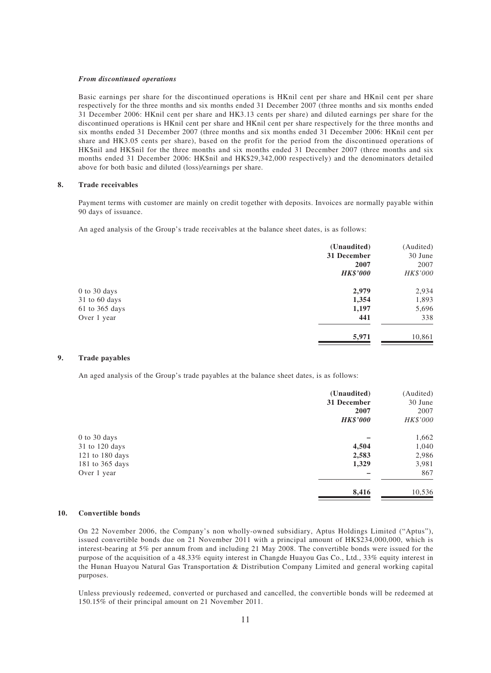#### *From discontinued operations*

Basic earnings per share for the discontinued operations is HKnil cent per share and HKnil cent per share respectively for the three months and six months ended 31 December 2007 (three months and six months ended 31 December 2006: HKnil cent per share and HK3.13 cents per share) and diluted earnings per share for the discontinued operations is HKnil cent per share and HKnil cent per share respectively for the three months and six months ended 31 December 2007 (three months and six months ended 31 December 2006: HKnil cent per share and HK3.05 cents per share), based on the profit for the period from the discontinued operations of HK\$nil and HK\$nil for the three months and six months ended 31 December 2007 (three months and six months ended 31 December 2006: HK\$nil and HK\$29,342,000 respectively) and the denominators detailed above for both basic and diluted (loss)/earnings per share.

#### **8. Trade receivables**

Payment terms with customer are mainly on credit together with deposits. Invoices are normally payable within 90 days of issuance.

An aged analysis of the Group's trade receivables at the balance sheet dates, is as follows:

|                | (Unaudited)     | (Audited) |
|----------------|-----------------|-----------|
|                | 31 December     | 30 June   |
|                | 2007            | 2007      |
|                | <b>HK\$'000</b> | HK\$'000  |
| 0 to 30 days   | 2,979           | 2,934     |
| 31 to 60 days  | 1,354           | 1,893     |
| 61 to 365 days | 1,197           | 5,696     |
| Over 1 year    | 441             | 338       |
|                | 5,971           | 10,861    |
|                |                 |           |

#### **9. Trade payables**

An aged analysis of the Group's trade payables at the balance sheet dates, is as follows:

|                 | (Unaudited)<br>31 December | (Audited)<br>30 June |
|-----------------|----------------------------|----------------------|
|                 | 2007                       | 2007                 |
|                 | <b>HK\$'000</b>            | HK\$'000             |
| 0 to 30 days    |                            | 1,662                |
| 31 to 120 days  | 4,504                      | 1,040                |
| 121 to 180 days | 2,583                      | 2,986                |
| 181 to 365 days | 1,329                      | 3,981                |
| Over 1 year     |                            | 867                  |
|                 | 8,416                      | 10,536               |

#### **10. Convertible bonds**

On 22 November 2006, the Company's non wholly-owned subsidiary, Aptus Holdings Limited ("Aptus"), issued convertible bonds due on 21 November 2011 with a principal amount of HK\$234,000,000, which is interest-bearing at 5% per annum from and including 21 May 2008. The convertible bonds were issued for the purpose of the acquisition of a 48.33% equity interest in Changde Huayou Gas Co., Ltd., 33% equity interest in the Hunan Huayou Natural Gas Transportation & Distribution Company Limited and general working capital purposes.

Unless previously redeemed, converted or purchased and cancelled, the convertible bonds will be redeemed at 150.15% of their principal amount on 21 November 2011.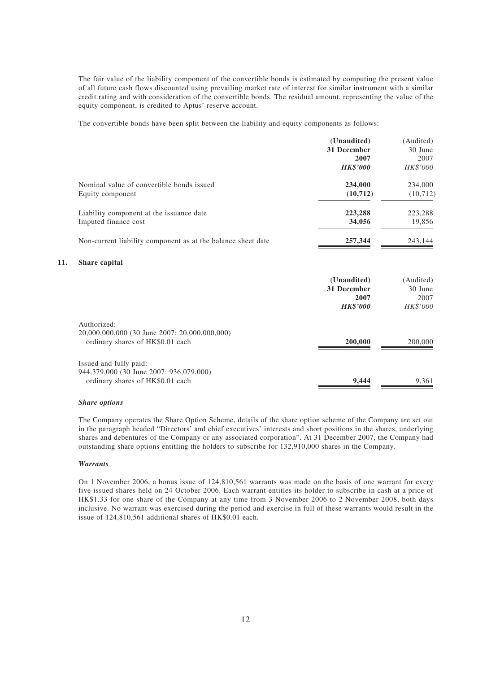The fair value of the liability component of the convertible bonds is estimated by computing the present value of all future cash flows discounted using prevailing market rate of interest for similar instrument with a similar credit rating and with consideration of the convertible bonds. The residual amount, representing the value of the equity component, is credited to Aptus' reserve account.

The convertible bonds have been split between the liability and equity components as follows:

|                                                              | (Unaudited)     | (Audited) |
|--------------------------------------------------------------|-----------------|-----------|
|                                                              | 31 December     | 30 June   |
|                                                              | 2007            | 2007      |
|                                                              | <b>HK\$'000</b> | HK\$'000  |
| Nominal value of convertible bonds issued                    | 234,000         | 234,000   |
| Equity component                                             | (10,712)        | (10, 712) |
| Liability component at the issuance date                     | 223,288         | 223,288   |
| Imputed finance cost                                         | 34,056          | 19,856    |
| Non-current liability component as at the balance sheet date | 257,344         | 243,144   |
| Share capital                                                |                 |           |
|                                                              | (Unaudited)     | (Audited) |
|                                                              | 31 December     | 30 June   |
|                                                              | 2007            | 2007      |
|                                                              | <b>HK\$'000</b> | HK\$'000  |
| Authorized:                                                  |                 |           |
| 20,000,000,000 (30 June 2007: 20,000,000,000)                |                 |           |
| ordinary shares of HK\$0.01 each                             | 200,000         | 200,000   |

# Issued and fully paid: 944,379,000 (30 June 2007: 936,079,000) ordinary shares of HK\$0.01 each **9,444** 9,361

#### *Share options*

**11.** 

The Company operates the Share Option Scheme, details of the share option scheme of the Company are set out in the paragraph headed "Directors' and chief executives' interests and short positions in the shares, underlying shares and debentures of the Company or any associated corporation". At 31 December 2007, the Company had outstanding share options entitling the holders to subscribe for 132,910,000 shares in the Company.

#### *Warrants*

On 1 November 2006, a bonus issue of 124,810,561 warrants was made on the basis of one warrant for every five issued shares held on 24 October 2006. Each warrant entitles its holder to subscribe in cash at a price of HK\$1.33 for one share of the Company at any time from 3 November 2006 to 2 November 2008, both days inclusive. No warrant was exercised during the period and exercise in full of these warrants would result in the issue of 124,810,561 additional shares of HK\$0.01 each.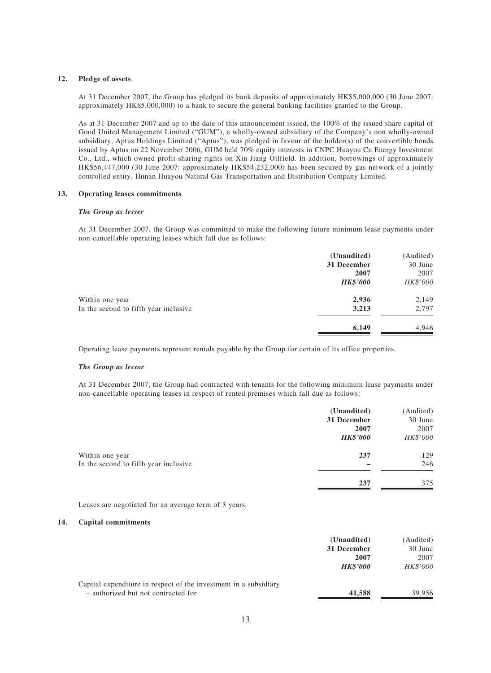### **12. Pledge of assets**

At 31 December 2007, the Group has pledged its bank deposits of approximately HK\$5,000,000 (30 June 2007: approximately HK\$5,000,000) to a bank to secure the general banking facilities granted to the Group.

As at 31 December 2007 and up to the date of this announcement issued, the 100% of the issued share capital of Good United Management Limited ("GUM"), a wholly-owned subsidiary of the Company's non wholly-owned subsidiary, Aptus Holdings Limited ("Aptus"), was pledged in favour of the holder(s) of the convertible bonds issued by Aptus on 22 November 2006, GUM held 70% equity interests in CNPC Huayou Cu Energy Investment Co., Ltd., which owned profit sharing rights on Xin Jiang Oilfield. In addition, borrowings of approximately HK\$56,447,000 (30 June 2007: approximately HK\$54,232,000) has been secured by gas network of a jointly controlled entity, Hunan Huayou Natural Gas Transportation and Distribution Company Limited.

#### **13. Operating leases commitments**

#### *The Group as lesser*

At 31 December 2007, the Group was committed to make the following future minimum lease payments under non-cancellable operating leases which fall due as follows:

|                                       | (Unaudited)     | (Audited) |
|---------------------------------------|-----------------|-----------|
|                                       | 31 December     | 30 June   |
|                                       | 2007            | 2007      |
|                                       | <b>HK\$'000</b> | HK\$'000  |
| Within one year                       | 2,936           | 2,149     |
| In the second to fifth year inclusive | 3,213           | 2,797     |
|                                       | 6,149           | 4,946     |
|                                       |                 |           |

Operating lease payments represent rentals payable by the Group for certain of its office properties.

#### *The Group as lessor*

At 31 December 2007, the Group had contracted with tenants for the following minimum lease payments under non-cancellable operating leases in respect of rented premises which fall due as follows:

|                                       | (Unaudited)<br>31 December | (Audited)<br>30 June |
|---------------------------------------|----------------------------|----------------------|
|                                       | 2007<br><b>HK\$'000</b>    | 2007<br>HK\$'000     |
| Within one year                       | 237                        | 129                  |
| In the second to fifth year inclusive |                            | 246                  |
|                                       | 237                        | 375                  |

Leases are negotiated for an average term of 3 years.

#### **14. Capital commitments**

|                                                                  | (Unaudited)<br>31 December | (Audited)<br>30 June |
|------------------------------------------------------------------|----------------------------|----------------------|
|                                                                  | 2007                       | 2007                 |
|                                                                  | <b>HK\$'000</b>            | HK\$'000             |
| Capital expenditure in respect of the investment in a subsidiary |                            |                      |
| - authorized but not contracted for                              | 41,588                     | 39.956               |
|                                                                  |                            |                      |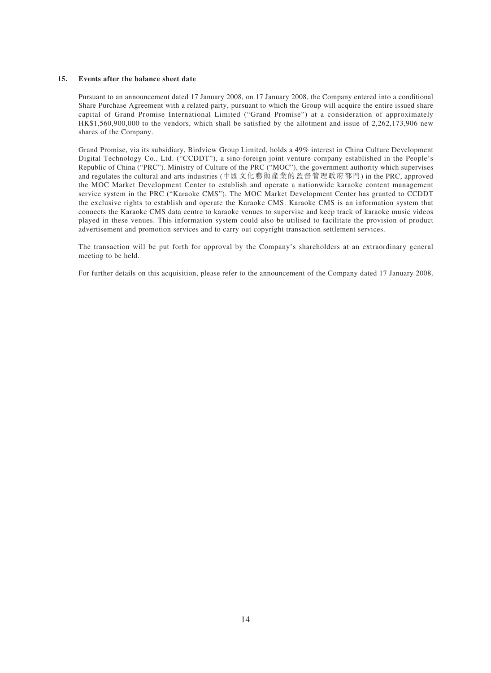#### **15. Events after the balance sheet date**

Pursuant to an announcement dated 17 January 2008, on 17 January 2008, the Company entered into a conditional Share Purchase Agreement with a related party, pursuant to which the Group will acquire the entire issued share capital of Grand Promise International Limited ("Grand Promise") at a consideration of approximately HK\$1,560,900,000 to the vendors, which shall be satisfied by the allotment and issue of 2,262,173,906 new shares of the Company.

Grand Promise, via its subsidiary, Birdview Group Limited, holds a 49% interest in China Culture Development Digital Technology Co., Ltd. ("CCDDT"), a sino-foreign joint venture company established in the People's Republic of China ("PRC"). Ministry of Culture of the PRC ("MOC"), the government authority which supervises and regulates the cultural and arts industries (中國文化藝術產業的監督管理政府部門) in the PRC, approved the MOC Market Development Center to establish and operate a nationwide karaoke content management service system in the PRC ("Karaoke CMS"). The MOC Market Development Center has granted to CCDDT the exclusive rights to establish and operate the Karaoke CMS. Karaoke CMS is an information system that connects the Karaoke CMS data centre to karaoke venues to supervise and keep track of karaoke music videos played in these venues. This information system could also be utilised to facilitate the provision of product advertisement and promotion services and to carry out copyright transaction settlement services.

The transaction will be put forth for approval by the Company's shareholders at an extraordinary general meeting to be held.

For further details on this acquisition, please refer to the announcement of the Company dated 17 January 2008.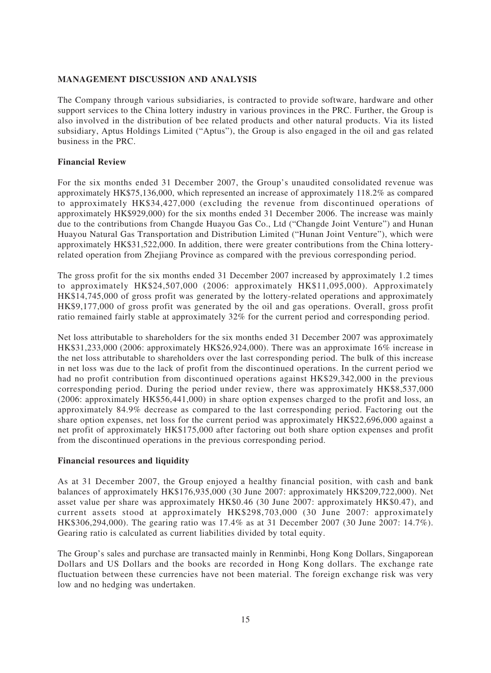# **MANAGEMENT DISCUSSION AND ANALYSIS**

The Company through various subsidiaries, is contracted to provide software, hardware and other support services to the China lottery industry in various provinces in the PRC. Further, the Group is also involved in the distribution of bee related products and other natural products. Via its listed subsidiary, Aptus Holdings Limited ("Aptus"), the Group is also engaged in the oil and gas related business in the PRC.

## **Financial Review**

For the six months ended 31 December 2007, the Group's unaudited consolidated revenue was approximately HK\$75,136,000, which represented an increase of approximately 118.2% as compared to approximately HK\$34,427,000 (excluding the revenue from discontinued operations of approximately HK\$929,000) for the six months ended 31 December 2006. The increase was mainly due to the contributions from Changde Huayou Gas Co., Ltd ("Changde Joint Venture") and Hunan Huayou Natural Gas Transportation and Distribution Limited ("Hunan Joint Venture"), which were approximately HK\$31,522,000. In addition, there were greater contributions from the China lotteryrelated operation from Zhejiang Province as compared with the previous corresponding period.

The gross profit for the six months ended 31 December 2007 increased by approximately 1.2 times to approximately HK\$24,507,000 (2006: approximately HK\$11,095,000). Approximately HK\$14,745,000 of gross profit was generated by the lottery-related operations and approximately HK\$9,177,000 of gross profit was generated by the oil and gas operations. Overall, gross profit ratio remained fairly stable at approximately 32% for the current period and corresponding period.

Net loss attributable to shareholders for the six months ended 31 December 2007 was approximately HK\$31,233,000 (2006: approximately HK\$26,924,000). There was an approximate 16% increase in the net loss attributable to shareholders over the last corresponding period. The bulk of this increase in net loss was due to the lack of profit from the discontinued operations. In the current period we had no profit contribution from discontinued operations against HK\$29,342,000 in the previous corresponding period. During the period under review, there was approximately HK\$8,537,000 (2006: approximately HK\$56,441,000) in share option expenses charged to the profit and loss, an approximately 84.9% decrease as compared to the last corresponding period. Factoring out the share option expenses, net loss for the current period was approximately HK\$22,696,000 against a net profit of approximately HK\$175,000 after factoring out both share option expenses and profit from the discontinued operations in the previous corresponding period.

## **Financial resources and liquidity**

As at 31 December 2007, the Group enjoyed a healthy financial position, with cash and bank balances of approximately HK\$176,935,000 (30 June 2007: approximately HK\$209,722,000). Net asset value per share was approximately HK\$0.46 (30 June 2007: approximately HK\$0.47), and current assets stood at approximately HK\$298,703,000 (30 June 2007: approximately HK\$306,294,000). The gearing ratio was 17.4% as at 31 December 2007 (30 June 2007: 14.7%). Gearing ratio is calculated as current liabilities divided by total equity.

The Group's sales and purchase are transacted mainly in Renminbi, Hong Kong Dollars, Singaporean Dollars and US Dollars and the books are recorded in Hong Kong dollars. The exchange rate fluctuation between these currencies have not been material. The foreign exchange risk was very low and no hedging was undertaken.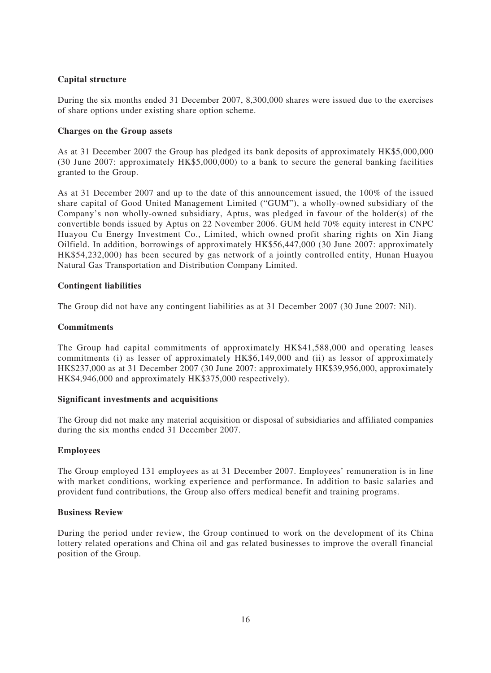# **Capital structure**

During the six months ended 31 December 2007, 8,300,000 shares were issued due to the exercises of share options under existing share option scheme.

### **Charges on the Group assets**

As at 31 December 2007 the Group has pledged its bank deposits of approximately HK\$5,000,000 (30 June 2007: approximately HK\$5,000,000) to a bank to secure the general banking facilities granted to the Group.

As at 31 December 2007 and up to the date of this announcement issued, the 100% of the issued share capital of Good United Management Limited ("GUM"), a wholly-owned subsidiary of the Company's non wholly-owned subsidiary, Aptus, was pledged in favour of the holder(s) of the convertible bonds issued by Aptus on 22 November 2006. GUM held 70% equity interest in CNPC Huayou Cu Energy Investment Co., Limited, which owned profit sharing rights on Xin Jiang Oilfield. In addition, borrowings of approximately HK\$56,447,000 (30 June 2007: approximately HK\$54,232,000) has been secured by gas network of a jointly controlled entity, Hunan Huayou Natural Gas Transportation and Distribution Company Limited.

## **Contingent liabilities**

The Group did not have any contingent liabilities as at 31 December 2007 (30 June 2007: Nil).

### **Commitments**

The Group had capital commitments of approximately HK\$41,588,000 and operating leases commitments (i) as lesser of approximately HK\$6,149,000 and (ii) as lessor of approximately HK\$237,000 as at 31 December 2007 (30 June 2007: approximately HK\$39,956,000, approximately HK\$4,946,000 and approximately HK\$375,000 respectively).

### **Significant investments and acquisitions**

The Group did not make any material acquisition or disposal of subsidiaries and affiliated companies during the six months ended 31 December 2007.

### **Employees**

The Group employed 131 employees as at 31 December 2007. Employees' remuneration is in line with market conditions, working experience and performance. In addition to basic salaries and provident fund contributions, the Group also offers medical benefit and training programs.

### **Business Review**

During the period under review, the Group continued to work on the development of its China lottery related operations and China oil and gas related businesses to improve the overall financial position of the Group.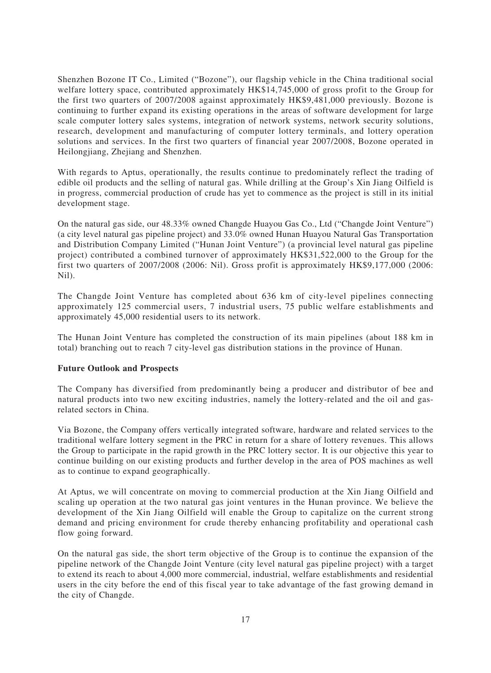Shenzhen Bozone IT Co., Limited ("Bozone"), our flagship vehicle in the China traditional social welfare lottery space, contributed approximately HK\$14,745,000 of gross profit to the Group for the first two quarters of 2007/2008 against approximately HK\$9,481,000 previously. Bozone is continuing to further expand its existing operations in the areas of software development for large scale computer lottery sales systems, integration of network systems, network security solutions, research, development and manufacturing of computer lottery terminals, and lottery operation solutions and services. In the first two quarters of financial year 2007/2008, Bozone operated in Heilongjiang, Zhejiang and Shenzhen.

With regards to Aptus, operationally, the results continue to predominately reflect the trading of edible oil products and the selling of natural gas. While drilling at the Group's Xin Jiang Oilfield is in progress, commercial production of crude has yet to commence as the project is still in its initial development stage.

On the natural gas side, our 48.33% owned Changde Huayou Gas Co., Ltd ("Changde Joint Venture") (a city level natural gas pipeline project) and 33.0% owned Hunan Huayou Natural Gas Transportation and Distribution Company Limited ("Hunan Joint Venture") (a provincial level natural gas pipeline project) contributed a combined turnover of approximately HK\$31,522,000 to the Group for the first two quarters of 2007/2008 (2006: Nil). Gross profit is approximately HK\$9,177,000 (2006: Nil).

The Changde Joint Venture has completed about 636 km of city-level pipelines connecting approximately 125 commercial users, 7 industrial users, 75 public welfare establishments and approximately 45,000 residential users to its network.

The Hunan Joint Venture has completed the construction of its main pipelines (about 188 km in total) branching out to reach 7 city-level gas distribution stations in the province of Hunan.

## **Future Outlook and Prospects**

The Company has diversified from predominantly being a producer and distributor of bee and natural products into two new exciting industries, namely the lottery-related and the oil and gasrelated sectors in China.

Via Bozone, the Company offers vertically integrated software, hardware and related services to the traditional welfare lottery segment in the PRC in return for a share of lottery revenues. This allows the Group to participate in the rapid growth in the PRC lottery sector. It is our objective this year to continue building on our existing products and further develop in the area of POS machines as well as to continue to expand geographically.

At Aptus, we will concentrate on moving to commercial production at the Xin Jiang Oilfield and scaling up operation at the two natural gas joint ventures in the Hunan province. We believe the development of the Xin Jiang Oilfield will enable the Group to capitalize on the current strong demand and pricing environment for crude thereby enhancing profitability and operational cash flow going forward.

On the natural gas side, the short term objective of the Group is to continue the expansion of the pipeline network of the Changde Joint Venture (city level natural gas pipeline project) with a target to extend its reach to about 4,000 more commercial, industrial, welfare establishments and residential users in the city before the end of this fiscal year to take advantage of the fast growing demand in the city of Changde.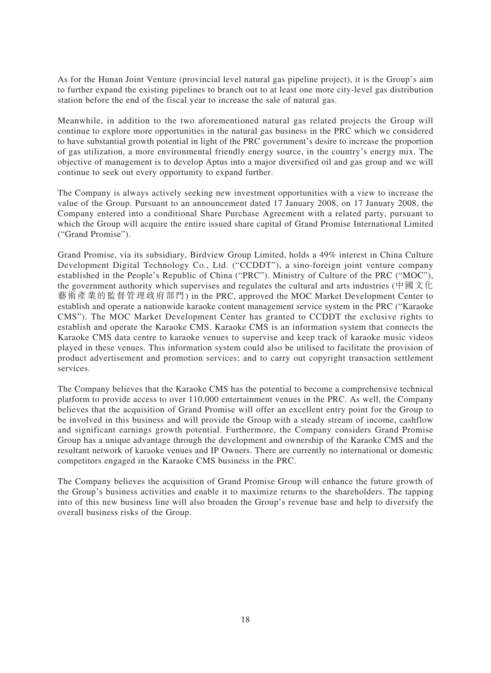As for the Hunan Joint Venture (provincial level natural gas pipeline project), it is the Group's aim to further expand the existing pipelines to branch out to at least one more city-level gas distribution station before the end of the fiscal year to increase the sale of natural gas.

Meanwhile, in addition to the two aforementioned natural gas related projects the Group will continue to explore more opportunities in the natural gas business in the PRC which we considered to have substantial growth potential in light of the PRC government's desire to increase the proportion of gas utilization, a more environmental friendly energy source, in the country's energy mix. The objective of management is to develop Aptus into a major diversified oil and gas group and we will continue to seek out every opportunity to expand further.

The Company is always actively seeking new investment opportunities with a view to increase the value of the Group. Pursuant to an announcement dated 17 January 2008, on 17 January 2008, the Company entered into a conditional Share Purchase Agreement with a related party, pursuant to which the Group will acquire the entire issued share capital of Grand Promise International Limited ("Grand Promise").

Grand Promise, via its subsidiary, Birdview Group Limited, holds a 49% interest in China Culture Development Digital Technology Co., Ltd. ("CCDDT"), a sino-foreign joint venture company established in the People's Republic of China ("PRC"). Ministry of Culture of the PRC ("MOC"), the government authority which supervises and regulates the cultural and arts industries (中國文化 藝術產業的監督管理政府部門) in the PRC, approved the MOC Market Development Center to establish and operate a nationwide karaoke content management service system in the PRC ("Karaoke CMS"). The MOC Market Development Center has granted to CCDDT the exclusive rights to establish and operate the Karaoke CMS. Karaoke CMS is an information system that connects the Karaoke CMS data centre to karaoke venues to supervise and keep track of karaoke music videos played in these venues. This information system could also be utilised to facilitate the provision of product advertisement and promotion services; and to carry out copyright transaction settlement services.

The Company believes that the Karaoke CMS has the potential to become a comprehensive technical platform to provide access to over 110,000 entertainment venues in the PRC. As well, the Company believes that the acquisition of Grand Promise will offer an excellent entry point for the Group to be involved in this business and will provide the Group with a steady stream of income, cashflow and significant earnings growth potential. Furthermore, the Company considers Grand Promise Group has a unique advantage through the development and ownership of the Karaoke CMS and the resultant network of karaoke venues and IP Owners. There are currently no international or domestic competitors engaged in the Karaoke CMS business in the PRC.

The Company believes the acquisition of Grand Promise Group will enhance the future growth of the Group's business activities and enable it to maximize returns to the shareholders. The tapping into of this new business line will also broaden the Group's revenue base and help to diversify the overall business risks of the Group.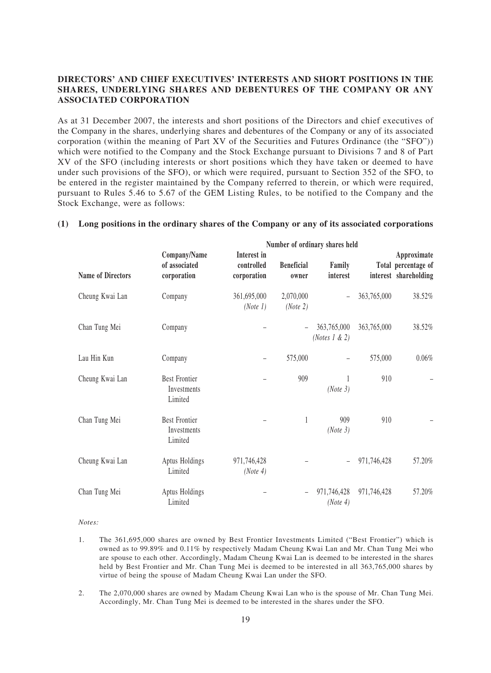# **DIRECTORS' AND CHIEF EXECUTIVES' INTERESTS AND SHORT POSITIONS IN THE SHARES, UNDERLYING SHARES AND DEBENTURES OF THE COMPANY OR ANY ASSOCIATED CORPORATION**

As at 31 December 2007, the interests and short positions of the Directors and chief executives of the Company in the shares, underlying shares and debentures of the Company or any of its associated corporation (within the meaning of Part XV of the Securities and Futures Ordinance (the "SFO")) which were notified to the Company and the Stock Exchange pursuant to Divisions 7 and 8 of Part XV of the SFO (including interests or short positions which they have taken or deemed to have under such provisions of the SFO), or which were required, pursuant to Section 352 of the SFO, to be entered in the register maintained by the Company referred to therein, or which were required, pursuant to Rules 5.46 to 5.67 of the GEM Listing Rules, to be notified to the Company and the Stock Exchange, were as follows:

# **(1) Long positions in the ordinary shares of the Company or any of its associated corporations**

|                          | Number of ordinary shares held                 |                                          |                            |                                  |             |                                                             |  |
|--------------------------|------------------------------------------------|------------------------------------------|----------------------------|----------------------------------|-------------|-------------------------------------------------------------|--|
| <b>Name of Directors</b> | Company/Name<br>of associated<br>corporation   | Interest in<br>controlled<br>corporation | <b>Beneficial</b><br>owner | Family<br>interest               |             | Approximate<br>Total percentage of<br>interest shareholding |  |
| Cheung Kwai Lan          | Company                                        | 361,695,000<br>(Note 1)                  | 2,070,000<br>(Note 2)      | $\overline{\phantom{0}}$         | 363,765,000 | 38.52%                                                      |  |
| Chan Tung Mei            | Company                                        |                                          |                            | 363,765,000<br>(Notes $1 \& 2$ ) | 363,765,000 | 38.52%                                                      |  |
| Lau Hin Kun              | Company                                        | $\overline{\phantom{0}}$                 | 575,000                    |                                  | 575,000     | 0.06%                                                       |  |
| Cheung Kwai Lan          | <b>Best Frontier</b><br>Investments<br>Limited |                                          | 909                        | (Note 3)                         | 910         |                                                             |  |
| Chan Tung Mei            | <b>Best Frontier</b><br>Investments<br>Limited |                                          | $\mathbf{1}$               | 909<br>(Note 3)                  | 910         |                                                             |  |
| Cheung Kwai Lan          | Aptus Holdings<br>Limited                      | 971,746,428<br>(Note 4)                  |                            |                                  | 971,746,428 | 57.20%                                                      |  |
| Chan Tung Mei            | Aptus Holdings<br>Limited                      |                                          |                            | 971,746,428<br>(Note 4)          | 971,746,428 | 57.20%                                                      |  |

#### *Notes:*

- 1. The 361,695,000 shares are owned by Best Frontier Investments Limited ("Best Frontier") which is owned as to 99.89% and 0.11% by respectively Madam Cheung Kwai Lan and Mr. Chan Tung Mei who are spouse to each other. Accordingly, Madam Cheung Kwai Lan is deemed to be interested in the shares held by Best Frontier and Mr. Chan Tung Mei is deemed to be interested in all 363,765,000 shares by virtue of being the spouse of Madam Cheung Kwai Lan under the SFO.
- 2. The 2,070,000 shares are owned by Madam Cheung Kwai Lan who is the spouse of Mr. Chan Tung Mei. Accordingly, Mr. Chan Tung Mei is deemed to be interested in the shares under the SFO.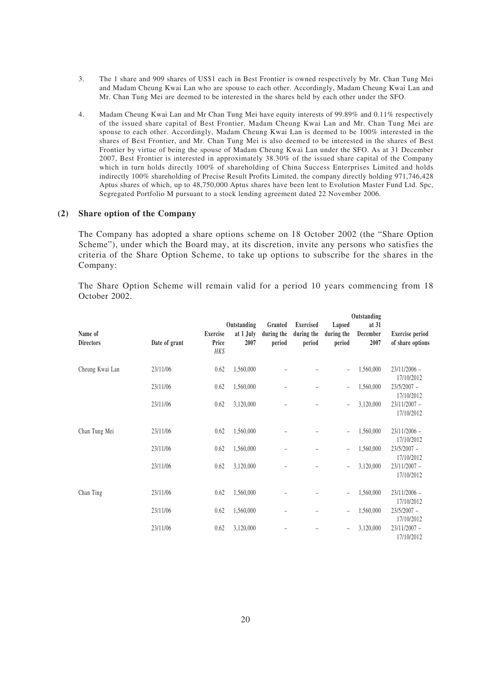- 3. The 1 share and 909 shares of US\$1 each in Best Frontier is owned respectively by Mr. Chan Tung Mei and Madam Cheung Kwai Lan who are spouse to each other. Accordingly, Madam Cheung Kwai Lan and Mr. Chan Tung Mei are deemed to be interested in the shares held by each other under the SFO.
- 4. Madam Cheung Kwai Lan and Mr Chan Tung Mei have equity interests of 99.89% and 0.11% respectively of the issued share capital of Best Frontier. Madam Cheung Kwai Lan and Mr. Chan Tung Mei are spouse to each other. Accordingly, Madam Cheung Kwai Lan is deemed to be 100% interested in the shares of Best Frontier, and Mr. Chan Tung Mei is also deemed to be interested in the shares of Best Frontier by virtue of being the spouse of Madam Cheung Kwai Lan under the SFO. As at 31 December 2007, Best Frontier is interested in approximately 38.30% of the issued share capital of the Company which in turn holds directly 100% of shareholding of China Success Enterprises Limited and holds indirectly 100% shareholding of Precise Result Profits Limited, the company directly holding 971,746,428 Aptus shares of which, up to 48,750,000 Aptus shares have been lent to Evolution Master Fund Ltd. Spc, Segregated Portfolio M pursuant to a stock lending agreement dated 22 November 2006.

### **(2) Share option of the Company**

The Company has adopted a share options scheme on 18 October 2002 (the "Share Option Scheme"), under which the Board may, at its discretion, invite any persons who satisfies the criteria of the Share Option Scheme, to take up options to subscribe for the shares in the Company:

The Share Option Scheme will remain valid for a period 10 years commencing from 18 October 2002.

|                             |               |                                  |                                  |                                 |                                          |                                | Outstanding                 |                                            |
|-----------------------------|---------------|----------------------------------|----------------------------------|---------------------------------|------------------------------------------|--------------------------------|-----------------------------|--------------------------------------------|
| Name of<br><b>Directors</b> | Date of grant | <b>Exercise</b><br>Price<br>HK\$ | Outstanding<br>at 1 July<br>2007 | Granted<br>during the<br>period | <b>Exercised</b><br>during the<br>period | Lapsed<br>during the<br>period | at $31$<br>December<br>2007 | <b>Exercise period</b><br>of share options |
| Cheung Kwai Lan             | 23/11/06      | 0.62                             | 1,560,000                        |                                 |                                          | $\overline{\phantom{0}}$       | 1,560,000                   | $23/11/2006$ -<br>17/10/2012               |
| 23/11/06<br>23/11/06        |               | 0.62                             | 1,560,000                        |                                 |                                          | $\overline{\phantom{0}}$       | 1,560,000                   | $23/5/2007 -$<br>17/10/2012                |
|                             |               | 0.62                             | 3,120,000                        |                                 |                                          | $\overline{\phantom{0}}$       | 3,120,000                   | $23/11/2007 -$<br>17/10/2012               |
| Chan Tung Mei               | 23/11/06      | 0.62                             | 1,560,000                        |                                 |                                          | $\qquad \qquad -$              | 1,560,000                   | $23/11/2006$ -<br>17/10/2012               |
|                             | 23/11/06      | 0.62                             | 1,560,000                        |                                 |                                          | $\qquad \qquad -$              | 1,560,000                   | $23/5/2007 -$<br>17/10/2012                |
|                             | 23/11/06      | 0.62                             | 3,120,000                        |                                 |                                          | $\qquad \qquad -$              | 3,120,000                   | $23/11/2007 -$<br>17/10/2012               |
| Chan Ting                   | 23/11/06      | 0.62                             | 1,560,000                        |                                 |                                          | $\overline{\phantom{0}}$       | 1,560,000                   | $23/11/2006$ -<br>17/10/2012               |
|                             | 23/11/06      | 0.62                             | 1,560,000                        |                                 |                                          | $\overline{\phantom{0}}$       | 1,560,000                   | $23/5/2007 -$<br>17/10/2012                |
|                             | 23/11/06      | 0.62                             | 3,120,000                        |                                 |                                          | $\overline{\phantom{0}}$       | 3,120,000                   | $23/11/2007 -$<br>17/10/2012               |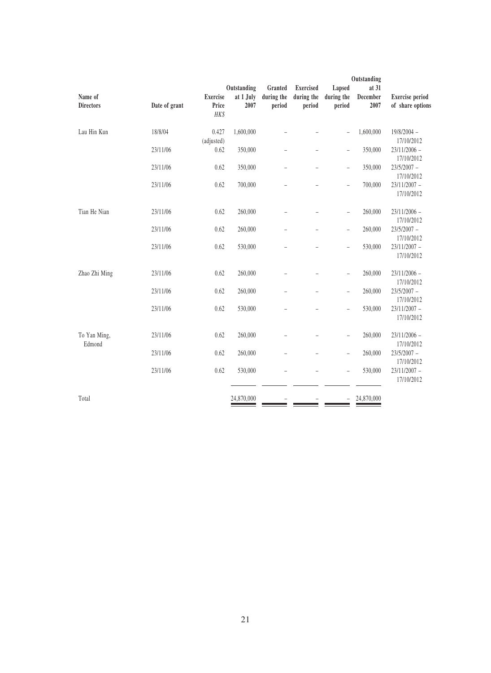|                             | Outstanding   |                          |                                  |                                 |                                          |                                |                           |                                            |
|-----------------------------|---------------|--------------------------|----------------------------------|---------------------------------|------------------------------------------|--------------------------------|---------------------------|--------------------------------------------|
| Name of<br><b>Directors</b> | Date of grant | <b>Exercise</b><br>Price | Outstanding<br>at 1 July<br>2007 | Granted<br>during the<br>period | <b>Exercised</b><br>during the<br>period | Lapsed<br>during the<br>period | at 31<br>December<br>2007 | <b>Exercise</b> period<br>of share options |
|                             |               | HK\$                     |                                  |                                 |                                          |                                |                           |                                            |
| Lau Hin Kun                 | 18/8/04       | 0.427<br>(adjusted)      | 1,600,000                        |                                 |                                          | $\overline{a}$                 | 1,600,000                 | $19/8/2004 -$<br>17/10/2012                |
|                             | 23/11/06      | 0.62                     | 350,000                          | $\overline{\phantom{0}}$        |                                          | $\overline{a}$                 | 350,000                   | $23/11/2006$ -<br>17/10/2012               |
|                             | 23/11/06      | 0.62                     | 350,000                          |                                 |                                          | $\overline{a}$                 | 350,000                   | $23/5/2007 -$<br>17/10/2012                |
|                             | 23/11/06      | 0.62                     | 700,000                          |                                 |                                          | $\overline{a}$                 | 700,000                   | $23/11/2007 -$<br>17/10/2012               |
| Tian He Nian                | 23/11/06      | 0.62                     | 260,000                          |                                 |                                          | $\overline{a}$                 | 260,000                   | $23/11/2006$ -<br>17/10/2012               |
|                             | 23/11/06      | 0.62                     | 260,000                          |                                 |                                          | $\overline{a}$                 | 260,000                   | $23/5/2007 -$<br>17/10/2012                |
|                             | 23/11/06      | 0.62                     | 530,000                          |                                 |                                          | $\overline{a}$                 | 530,000                   | $23/11/2007 -$<br>17/10/2012               |
| Zhao Zhi Ming               | 23/11/06      | 0.62                     | 260,000                          |                                 |                                          | $\overline{a}$                 | 260,000                   | $23/11/2006$ -<br>17/10/2012               |
|                             | 23/11/06      | 0.62                     | 260,000                          |                                 |                                          | $\overline{a}$                 | 260,000                   | $23/5/2007 -$<br>17/10/2012                |
|                             | 23/11/06      | 0.62                     | 530,000                          |                                 |                                          | $\overline{a}$                 | 530,000                   | $23/11/2007 -$<br>17/10/2012               |
| To Yan Ming,<br>Edmond      | 23/11/06      | 0.62                     | 260,000                          |                                 |                                          | $\overline{a}$                 | 260,000                   | $23/11/2006$ -<br>17/10/2012               |
|                             | 23/11/06      | 0.62                     | 260,000                          |                                 |                                          | $\overline{a}$                 | 260,000                   | $23/5/2007 -$<br>17/10/2012                |
|                             | 23/11/06      | 0.62                     | 530,000                          |                                 |                                          | $\overline{a}$                 | 530,000                   | $23/11/2007 -$<br>17/10/2012               |
| Total                       |               |                          | 24,870,000                       |                                 |                                          | $\overline{\phantom{0}}$       | 24,870,000                |                                            |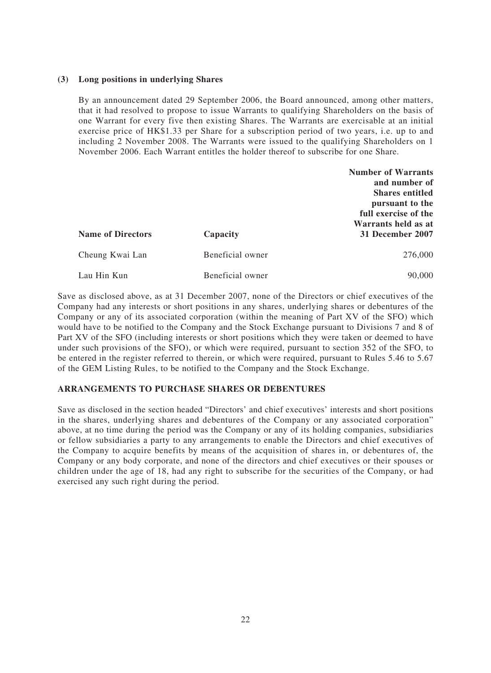### **(3) Long positions in underlying Shares**

By an announcement dated 29 September 2006, the Board announced, among other matters, that it had resolved to propose to issue Warrants to qualifying Shareholders on the basis of one Warrant for every five then existing Shares. The Warrants are exercisable at an initial exercise price of HK\$1.33 per Share for a subscription period of two years, i.e. up to and including 2 November 2008. The Warrants were issued to the qualifying Shareholders on 1 November 2006. Each Warrant entitles the holder thereof to subscribe for one Share.

|                          |                  | <b>Number of Warrants</b> |
|--------------------------|------------------|---------------------------|
|                          |                  | and number of             |
|                          |                  | <b>Shares entitled</b>    |
|                          |                  | pursuant to the           |
|                          |                  | full exercise of the      |
|                          |                  | Warrants held as at       |
| <b>Name of Directors</b> | Capacity         | 31 December 2007          |
| Cheung Kwai Lan          | Beneficial owner | 276,000                   |
| Lau Hin Kun              | Beneficial owner | 90,000                    |

Save as disclosed above, as at 31 December 2007, none of the Directors or chief executives of the Company had any interests or short positions in any shares, underlying shares or debentures of the Company or any of its associated corporation (within the meaning of Part XV of the SFO) which would have to be notified to the Company and the Stock Exchange pursuant to Divisions 7 and 8 of Part XV of the SFO (including interests or short positions which they were taken or deemed to have under such provisions of the SFO), or which were required, pursuant to section 352 of the SFO, to be entered in the register referred to therein, or which were required, pursuant to Rules 5.46 to 5.67 of the GEM Listing Rules, to be notified to the Company and the Stock Exchange.

## **ARRANGEMENTS TO PURCHASE SHARES OR DEBENTURES**

Save as disclosed in the section headed "Directors' and chief executives' interests and short positions in the shares, underlying shares and debentures of the Company or any associated corporation" above, at no time during the period was the Company or any of its holding companies, subsidiaries or fellow subsidiaries a party to any arrangements to enable the Directors and chief executives of the Company to acquire benefits by means of the acquisition of shares in, or debentures of, the Company or any body corporate, and none of the directors and chief executives or their spouses or children under the age of 18, had any right to subscribe for the securities of the Company, or had exercised any such right during the period.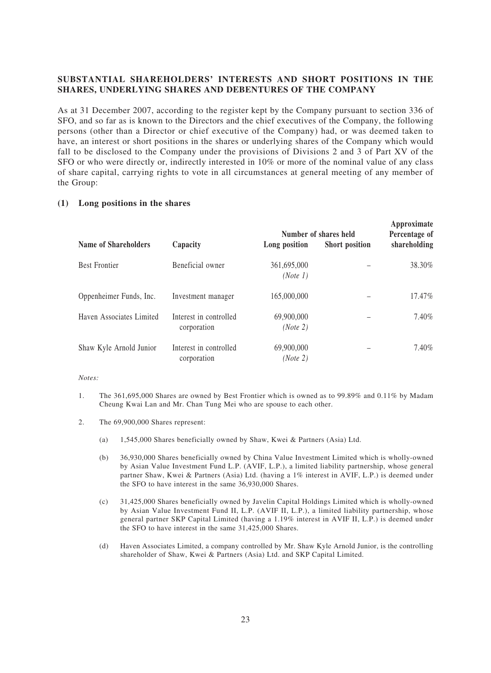# **SUBSTANTIAL SHAREHOLDERS' INTERESTS AND SHORT POSITIONS IN THE SHARES, UNDERLYING SHARES AND DEBENTURES OF THE COMPANY**

As at 31 December 2007, according to the register kept by the Company pursuant to section 336 of SFO, and so far as is known to the Directors and the chief executives of the Company, the following persons (other than a Director or chief executive of the Company) had, or was deemed taken to have, an interest or short positions in the shares or underlying shares of the Company which would fall to be disclosed to the Company under the provisions of Divisions 2 and 3 of Part XV of the SFO or who were directly or, indirectly interested in 10% or more of the nominal value of any class of share capital, carrying rights to vote in all circumstances at general meeting of any member of the Group:

### **(1) Long positions in the shares**

|                             |                                       | Number of shares held   | Approximate<br>Percentage of |              |
|-----------------------------|---------------------------------------|-------------------------|------------------------------|--------------|
| <b>Name of Shareholders</b> | Capacity                              | Long position           | <b>Short position</b>        | shareholding |
| <b>Best Frontier</b>        | Beneficial owner                      | 361,695,000<br>(Note 1) |                              | 38.30%       |
| Oppenheimer Funds, Inc.     | Investment manager                    | 165,000,000             |                              | 17.47%       |
| Haven Associates Limited    | Interest in controlled<br>corporation | 69,900,000<br>(Note 2)  |                              | 7.40%        |
| Shaw Kyle Arnold Junior     | Interest in controlled<br>corporation | 69,900,000<br>(Note 2)  |                              | 7.40%        |

### *Notes:*

- 1. The 361,695,000 Shares are owned by Best Frontier which is owned as to 99.89% and 0.11% by Madam Cheung Kwai Lan and Mr. Chan Tung Mei who are spouse to each other.
- 2. The 69,900,000 Shares represent:
	- (a) 1,545,000 Shares beneficially owned by Shaw, Kwei & Partners (Asia) Ltd.
	- (b) 36,930,000 Shares beneficially owned by China Value Investment Limited which is wholly-owned by Asian Value Investment Fund L.P. (AVIF, L.P.), a limited liability partnership, whose general partner Shaw, Kwei & Partners (Asia) Ltd. (having a 1% interest in AVIF, L.P.) is deemed under the SFO to have interest in the same 36,930,000 Shares.
	- (c) 31,425,000 Shares beneficially owned by Javelin Capital Holdings Limited which is wholly-owned by Asian Value Investment Fund II, L.P. (AVIF II, L.P.), a limited liability partnership, whose general partner SKP Capital Limited (having a 1.19% interest in AVIF II, L.P.) is deemed under the SFO to have interest in the same 31,425,000 Shares.
	- (d) Haven Associates Limited, a company controlled by Mr. Shaw Kyle Arnold Junior, is the controlling shareholder of Shaw, Kwei & Partners (Asia) Ltd. and SKP Capital Limited.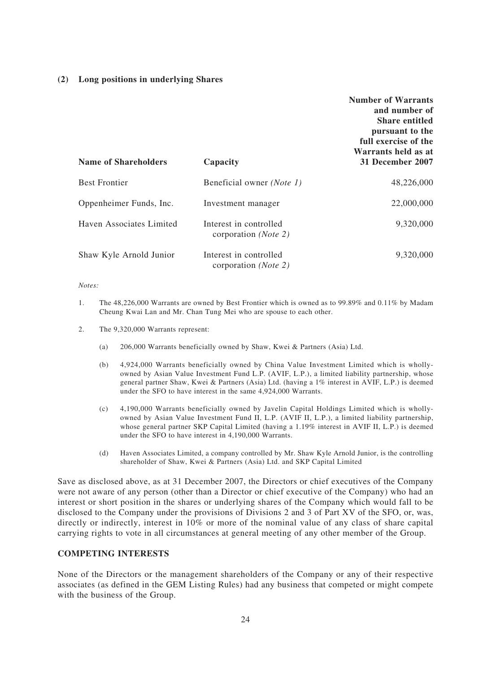### **(2) Long positions in underlying Shares**

| <b>Name of Shareholders</b> | Capacity                                                | <b>Number of Warrants</b><br>and number of<br><b>Share entitled</b><br>pursuant to the<br>full exercise of the<br>Warrants held as at<br>31 December 2007 |
|-----------------------------|---------------------------------------------------------|-----------------------------------------------------------------------------------------------------------------------------------------------------------|
| <b>Best Frontier</b>        | Beneficial owner (Note 1)                               | 48,226,000                                                                                                                                                |
| Oppenheimer Funds, Inc.     | Investment manager                                      | 22,000,000                                                                                                                                                |
| Haven Associates Limited    | Interest in controlled<br>corporation ( <i>Note 2</i> ) | 9,320,000                                                                                                                                                 |
| Shaw Kyle Arnold Junior     | Interest in controlled<br>corporation ( <i>Note 2</i> ) | 9,320,000                                                                                                                                                 |

### *Notes:*

- 1. The 48,226,000 Warrants are owned by Best Frontier which is owned as to 99.89% and 0.11% by Madam Cheung Kwai Lan and Mr. Chan Tung Mei who are spouse to each other.
- 2. The 9,320,000 Warrants represent:
	- (a) 206,000 Warrants beneficially owned by Shaw, Kwei & Partners (Asia) Ltd.
	- (b) 4,924,000 Warrants beneficially owned by China Value Investment Limited which is whollyowned by Asian Value Investment Fund L.P. (AVIF, L.P.), a limited liability partnership, whose general partner Shaw, Kwei & Partners (Asia) Ltd. (having a 1% interest in AVIF, L.P.) is deemed under the SFO to have interest in the same 4,924,000 Warrants.
	- (c) 4,190,000 Warrants beneficially owned by Javelin Capital Holdings Limited which is whollyowned by Asian Value Investment Fund II, L.P. (AVIF II, L.P.), a limited liability partnership, whose general partner SKP Capital Limited (having a 1.19% interest in AVIF II, L.P.) is deemed under the SFO to have interest in 4,190,000 Warrants.
	- (d) Haven Associates Limited, a company controlled by Mr. Shaw Kyle Arnold Junior, is the controlling shareholder of Shaw, Kwei & Partners (Asia) Ltd. and SKP Capital Limited

Save as disclosed above, as at 31 December 2007, the Directors or chief executives of the Company were not aware of any person (other than a Director or chief executive of the Company) who had an interest or short position in the shares or underlying shares of the Company which would fall to be disclosed to the Company under the provisions of Divisions 2 and 3 of Part XV of the SFO, or, was, directly or indirectly, interest in 10% or more of the nominal value of any class of share capital carrying rights to vote in all circumstances at general meeting of any other member of the Group.

### **COMPETING INTERESTS**

None of the Directors or the management shareholders of the Company or any of their respective associates (as defined in the GEM Listing Rules) had any business that competed or might compete with the business of the Group.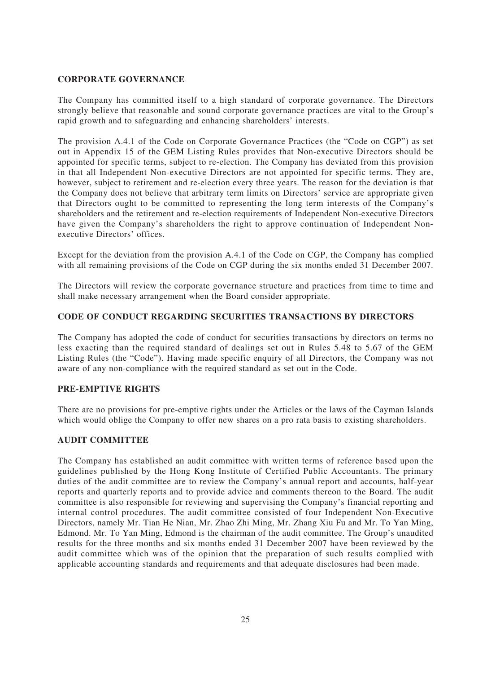# **CORPORATE GOVERNANCE**

The Company has committed itself to a high standard of corporate governance. The Directors strongly believe that reasonable and sound corporate governance practices are vital to the Group's rapid growth and to safeguarding and enhancing shareholders' interests.

The provision A.4.1 of the Code on Corporate Governance Practices (the "Code on CGP") as set out in Appendix 15 of the GEM Listing Rules provides that Non-executive Directors should be appointed for specific terms, subject to re-election. The Company has deviated from this provision in that all Independent Non-executive Directors are not appointed for specific terms. They are, however, subject to retirement and re-election every three years. The reason for the deviation is that the Company does not believe that arbitrary term limits on Directors' service are appropriate given that Directors ought to be committed to representing the long term interests of the Company's shareholders and the retirement and re-election requirements of Independent Non-executive Directors have given the Company's shareholders the right to approve continuation of Independent Nonexecutive Directors' offices.

Except for the deviation from the provision A.4.1 of the Code on CGP, the Company has complied with all remaining provisions of the Code on CGP during the six months ended 31 December 2007.

The Directors will review the corporate governance structure and practices from time to time and shall make necessary arrangement when the Board consider appropriate.

## **CODE OF CONDUCT REGARDING SECURITIES TRANSACTIONS BY DIRECTORS**

The Company has adopted the code of conduct for securities transactions by directors on terms no less exacting than the required standard of dealings set out in Rules 5.48 to 5.67 of the GEM Listing Rules (the "Code"). Having made specific enquiry of all Directors, the Company was not aware of any non-compliance with the required standard as set out in the Code.

## **PRE-EMPTIVE RIGHTS**

There are no provisions for pre-emptive rights under the Articles or the laws of the Cayman Islands which would oblige the Company to offer new shares on a pro rata basis to existing shareholders.

### **AUDIT COMMITTEE**

The Company has established an audit committee with written terms of reference based upon the guidelines published by the Hong Kong Institute of Certified Public Accountants. The primary duties of the audit committee are to review the Company's annual report and accounts, half-year reports and quarterly reports and to provide advice and comments thereon to the Board. The audit committee is also responsible for reviewing and supervising the Company's financial reporting and internal control procedures. The audit committee consisted of four Independent Non-Executive Directors, namely Mr. Tian He Nian, Mr. Zhao Zhi Ming, Mr. Zhang Xiu Fu and Mr. To Yan Ming, Edmond. Mr. To Yan Ming, Edmond is the chairman of the audit committee. The Group's unaudited results for the three months and six months ended 31 December 2007 have been reviewed by the audit committee which was of the opinion that the preparation of such results complied with applicable accounting standards and requirements and that adequate disclosures had been made.